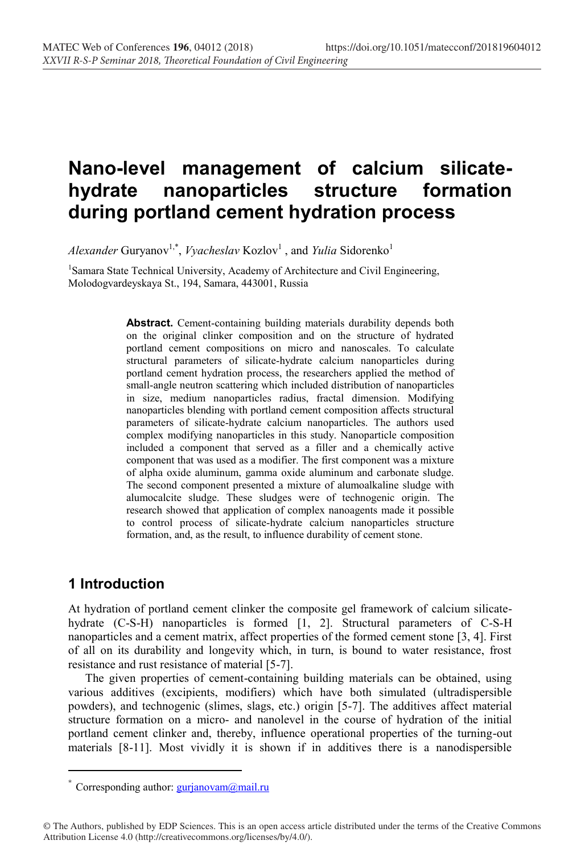# **Nano-level management of calcium silicatehydrate nanoparticles structure formation during portland cement hydration process**

*Alexander* Guryanov<sup>1,\*</sup>, *Vyacheslav* Kozlov<sup>1</sup>, and *Yulia* Sidorenko<sup>1</sup>

<sup>1</sup>Samara State Technical University, Academy of Architecture and Civil Engineering, Molodogvardeyskaya St., 194, Samara, 443001, Russia

> **Abstract.** Cement-containing building materials durability depends both on the original clinker composition and on the structure of hydrated portland cement compositions on micro and nanoscales. To calculate structural parameters of silicate-hydrate calcium nanoparticles during portland cement hydration process, the researchers applied the method of small-angle neutron scattering which included distribution of nanoparticles in size, medium nanoparticles radius, fractal dimension. Modifying nanoparticles blending with portland cement composition affects structural parameters of silicate-hydrate calcium nanoparticles. The authors used complex modifying nanoparticles in this study. Nanoparticle composition included a component that served as a filler and a chemically active component that was used as a modifier. The first component was a mixture of alpha oxide aluminum, gamma oxide aluminum and carbonate sludge. The second component presented a mixture of alumoalkaline sludge with alumocalcite sludge. These sludges were of technogenic origin. The research showed that application of complex nanoagents made it possible to control process of silicate-hydrate calcium nanoparticles structure formation, and, as the result, to influence durability of cement stone.

## **1 Introduction**

 $\overline{a}$ 

At hydration of portland cement clinker the composite gel framework of calcium silicatehydrate (C-S-H) nanoparticles is formed [1, 2]. Structural parameters of C-S-H nanoparticles and a cement matrix, affect properties of the formed cement stone [3, 4]. First of all on its durability and longevity which, in turn, is bound to water resistance, frost resistance and rust resistance of material [5-7].

The given properties of cement-containing building materials can be obtained, using various additives (excipients, modifiers) which have both simulated (ultradispersible powders), and technogenic (slimes, slags, etc.) origin [5-7]. The additives affect material structure formation on a micro- and nanolevel in the course of hydration of the initial portland cement clinker and, thereby, influence operational properties of the turning-out materials [8-11]. Most vividly it is shown if in additives there is a nanodispersible

<sup>\*</sup> Corresponding author:  $gurianovam@mail.ru$ 

<sup>©</sup> The Authors, published by EDP Sciences. This is an open access article distributed under the terms of the Creative Commons Attribution License 4.0 (http://creativecommons.org/licenses/by/4.0/).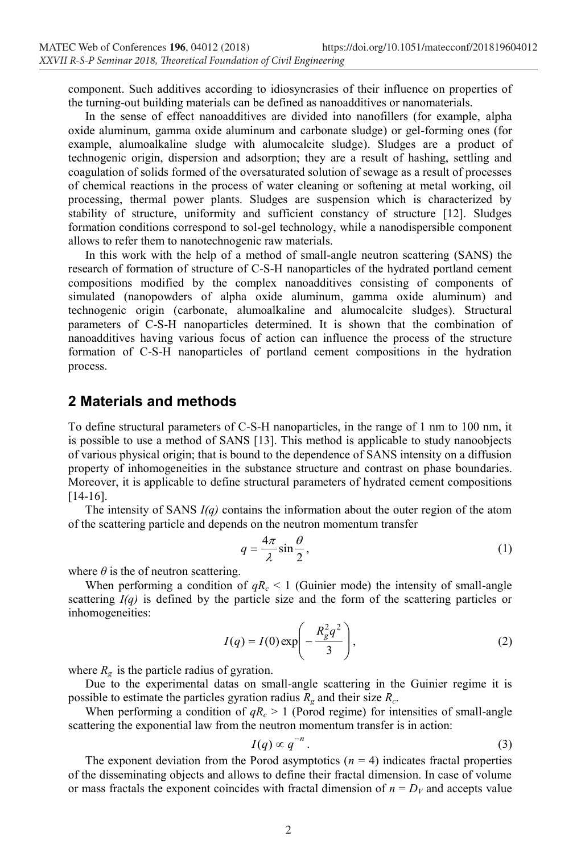component. Such additives according to idiosyncrasies of their influence on properties of the turning-out building materials can be defined as nanoadditives or nanomaterials.

In the sense of effect nanoadditives are divided into nanofillers (for example, alpha oxide aluminum, gamma oxide aluminum and carbonate sludge) or gel-forming ones (for example, alumoalkaline sludge with alumocalcite sludge). Sludges are a product of technogenic origin, dispersion and adsorption; they are a result of hashing, settling and coagulation of solids formed of the oversaturated solution of sewage as a result of processes of chemical reactions in the process of water cleaning or softening at metal working, oil processing, thermal power plants. Sludges are suspension which is characterized by stability of structure, uniformity and sufficient constancy of structure [12]. Sludges formation conditions correspond to sol-gel technology, while a nanodispersible component allows to refer them to nanotechnogenic raw materials.

In this work with the help of a method of small-angle neutron scattering (SANS) the research of formation of structure of C-S-H nanoparticles of the hydrated portland cement compositions modified by the complex nanoadditives consisting of components of simulated (nanopowders of alpha oxide aluminum, gamma oxide aluminum) and technogenic origin (carbonate, alumoalkaline and alumocalcite sludges). Structural parameters of C-S-H nanoparticles determined. It is shown that the combination of nanoadditives having various focus of action can influence the process of the structure formation of C-S-H nanoparticles of portland cement compositions in the hydration process.

### **2 Materials and methods**

To define structural parameters of C-S-H nanoparticles, in the range of 1 nm to 100 nm, it is possible to use a method of SANS [13]. This method is applicable to study nanoobjects of various physical origin; that is bound to the dependence of SANS intensity on a diffusion property of inhomogeneities in the substance structure and contrast on phase boundaries. Moreover, it is applicable to define structural parameters of hydrated cement compositions [14-16].

The intensity of SANS *I(q)* contains the information about the outer region of the atom of the scattering particle and depends on the neutron momentum transfer

$$
q = \frac{4\pi}{\lambda} \sin \frac{\theta}{2},\tag{1}
$$

where  $\theta$  is the of neutron scattering.

When performing a condition of  $qR_c \leq 1$  (Guinier mode) the intensity of small-angle scattering *I(q)* is defined by the particle size and the form of the scattering particles or inhomogeneities:

$$
I(q) = I(0) \exp\left(-\frac{R_g^2 q^2}{3}\right),\tag{2}
$$

where  $R_g$  is the particle radius of gyration.

Due to the experimental datas on small-angle scattering in the Guinier regime it is possible to estimate the particles gyration radius  $R_g$  and their size  $R_g$ .

When performing a condition of  $qR_c > 1$  (Porod regime) for intensities of small-angle scattering the exponential law from the neutron momentum transfer is in action:

$$
I(q) \propto q^{-n} \,. \tag{3}
$$

The exponent deviation from the Porod asymptotics  $(n = 4)$  indicates fractal properties of the disseminating objects and allows to define their fractal dimension. In case of volume or mass fractals the exponent coincides with fractal dimension of  $n = D_V$  and accepts value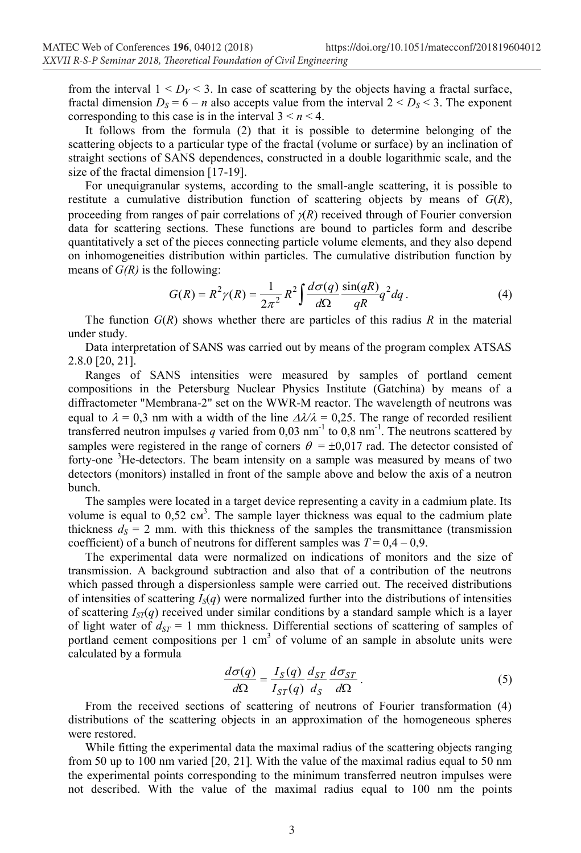from the interval  $1 \leq D_V \leq 3$ . In case of scattering by the objects having a fractal surface, fractal dimension  $D_S = 6 - n$  also accepts value from the interval  $2 < D_S < 3$ . The exponent corresponding to this case is in the interval  $3 \le n \le 4$ .

It follows from the formula (2) that it is possible to determine belonging of the scattering objects to a particular type of the fractal (volume or surface) by an inclination of straight sections of SANS dependences, constructed in a double logarithmic scale, and the size of the fractal dimension [17-19].

For unequigranular systems, according to the small-angle scattering, it is possible to restitute a cumulative distribution function of scattering objects by means of *G*(*R*), proceeding from ranges of pair correlations of  $\chi(R)$  received through of Fourier conversion data for scattering sections. These functions are bound to particles form and describe quantitatively a set of the pieces connecting particle volume elements, and they also depend on inhomogeneities distribution within particles. The cumulative distribution function by means of *G(R)* is the following:

$$
G(R) = R^2 \gamma(R) = \frac{1}{2\pi^2} R^2 \int \frac{d\sigma(q)}{d\Omega} \frac{\sin(qR)}{qR} q^2 dq.
$$
 (4)

The function  $G(R)$  shows whether there are particles of this radius  $R$  in the material under study.

Data interpretation of SANS was carried out by means of the program complex ATSAS 2.8.0 [20, 21].

Ranges of SANS intensities were measured by samples of portland cement compositions in the Petersburg Nuclear Physics Institute (Gatchina) by means of a diffractometer "Membrana-2" set on the WWR-М reactor. The wavelength of neutrons was equal to  $\lambda = 0.3$  nm with a width of the line  $\Delta \lambda / \lambda = 0.25$ . The range of recorded resilient transferred neutron impulses q varied from  $0.03 \text{ nm}^{-1}$  to  $0.8 \text{ nm}^{-1}$ . The neutrons scattered by samples were registered in the range of corners  $\theta = \pm 0.017$  rad. The detector consisted of forty-one <sup>3</sup>He-detectors. The beam intensity on a sample was measured by means of two detectors (monitors) installed in front of the sample above and below the axis of a neutron bunch.

The samples were located in a target device representing a cavity in a cadmium plate. Its volume is equal to  $0.52 \text{ cm}^3$ . The sample layer thickness was equal to the cadmium plate thickness  $d<sub>S</sub> = 2$  mm. with this thickness of the samples the transmittance (transmission coefficient) of a bunch of neutrons for different samples was  $T = 0.4 - 0.9$ .

The experimental data were normalized on indications of monitors and the size of transmission. A background subtraction and also that of a contribution of the neutrons which passed through a dispersionless sample were carried out. The received distributions of intensities of scattering  $I_{S}(q)$  were normalized further into the distributions of intensities of scattering  $I_{ST}(q)$  received under similar conditions by a standard sample which is a layer of light water of  $d_{ST} = 1$  mm thickness. Differential sections of scattering of samples of portland cement compositions per  $1 \text{ cm}^3$  of volume of an sample in absolute units were calculated by a formula

$$
\frac{d\sigma(q)}{d\Omega} = \frac{I_S(q)}{I_{ST}(q)} \frac{d_{ST}}{d_S} \frac{d\sigma_{ST}}{d\Omega} \,. \tag{5}
$$

From the received sections of scattering of neutrons of Fourier transformation (4) distributions of the scattering objects in an approximation of the homogeneous spheres were restored.

While fitting the experimental data the maximal radius of the scattering objects ranging from 50 up to 100 nm varied [20, 21]. With the value of the maximal radius equal to 50 nm the experimental points corresponding to the minimum transferred neutron impulses were not described. With the value of the maximal radius equal to 100 nm the points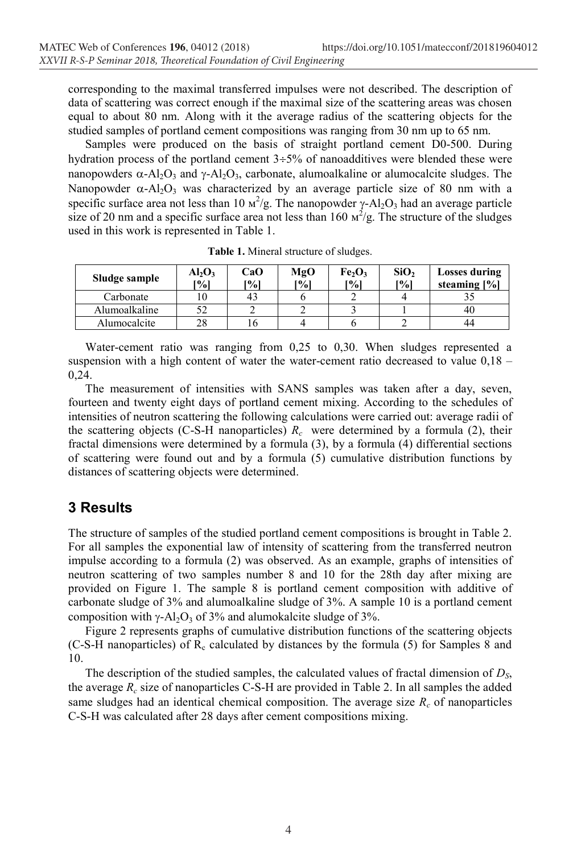corresponding to the maximal transferred impulses were not described. The description of data of scattering was correct enough if the maximal size of the scattering areas was chosen equal to about 80 nm. Along with it the average radius of the scattering objects for the studied samples of portland cement compositions was ranging from 30 nm up to 65 nm.

Samples were produced on the basis of straight portland cement D0-500. During hydration process of the portland cement  $3\div 5\%$  of nanoadditives were blended these were nanopowders  $\alpha$ -Al<sub>2</sub>O<sub>3</sub> and  $\gamma$ -Al<sub>2</sub>O<sub>3</sub>, carbonate, alumoalkaline or alumocalcite sludges. The Nanopowder  $\alpha$ -Al<sub>2</sub>O<sub>3</sub> was characterized by an average particle size of 80 nm with a specific surface area not less than 10  $\frac{M^2}{g}$ . The nanopowder  $\gamma$ -Al<sub>2</sub>O<sub>3</sub> had an average particle size of 20 nm and a specific surface area not less than  $160 \text{ m}^2/\text{g}$ . The structure of the sludges used in this work is represented in Table 1.

| Sludge sample | AI <sub>2</sub> O <sub>3</sub><br>[%] | CaO<br>[%] | MgO<br>[%] | Fe <sub>2</sub> O <sub>3</sub><br>[%] | SiO <sub>2</sub><br>$\lceil \frac{9}{6} \rceil$ | <b>Losses during</b><br>steaming $[\%]$ |
|---------------|---------------------------------------|------------|------------|---------------------------------------|-------------------------------------------------|-----------------------------------------|
| Carbonate     | . 0                                   | 43         |            |                                       |                                                 |                                         |
| Alumoalkaline | 52                                    |            |            |                                       |                                                 | 40                                      |
| Alumocalcite  | 28                                    | 10         |            |                                       |                                                 | 44                                      |

**Table 1.** Mineral structure of sludges.

Water-cement ratio was ranging from 0,25 to 0,30. When sludges represented a suspension with a high content of water the water-cement ratio decreased to value  $0.18 -$ 0,24.

The measurement of intensities with SANS samples was taken after a day, seven, fourteen and twenty eight days of portland cement mixing. According to the schedules of intensities of neutron scattering the following calculations were carried out: average radii of the scattering objects (C-S-H nanoparticles)  $R_c$  were determined by a formula (2), their fractal dimensions were determined by a formula (3), by a formula (4) differential sections of scattering were found out and by a formula (5) cumulative distribution functions by distances of scattering objects were determined.

## **3 Results**

The structure of samples of the studied portland cement compositions is brought in Table 2. For all samples the exponential law of intensity of scattering from the transferred neutron impulse according to a formula (2) was observed. As an example, graphs of intensities of neutron scattering of two samples number 8 and 10 for the 28th day after mixing are provided on Figure 1. The sample 8 is portland cement composition with additive of carbonate sludge of 3% and alumoalkaline sludge of 3%. A sample 10 is a portland cement composition with  $\gamma$ -Al<sub>2</sub>O<sub>3</sub> of 3% and alumokalcite sludge of 3%.

Figure 2 represents graphs of cumulative distribution functions of the scattering objects (C-S-H nanoparticles) of  $R_c$  calculated by distances by the formula (5) for Samples 8 and 10.

The description of the studied samples, the calculated values of fractal dimension of *DS*, the average  $R_c$  size of nanoparticles C-S-H are provided in Table 2. In all samples the added same sludges had an identical chemical composition. The average size  $R_c$  of nanoparticles C-S-H was calculated after 28 days after cement compositions mixing.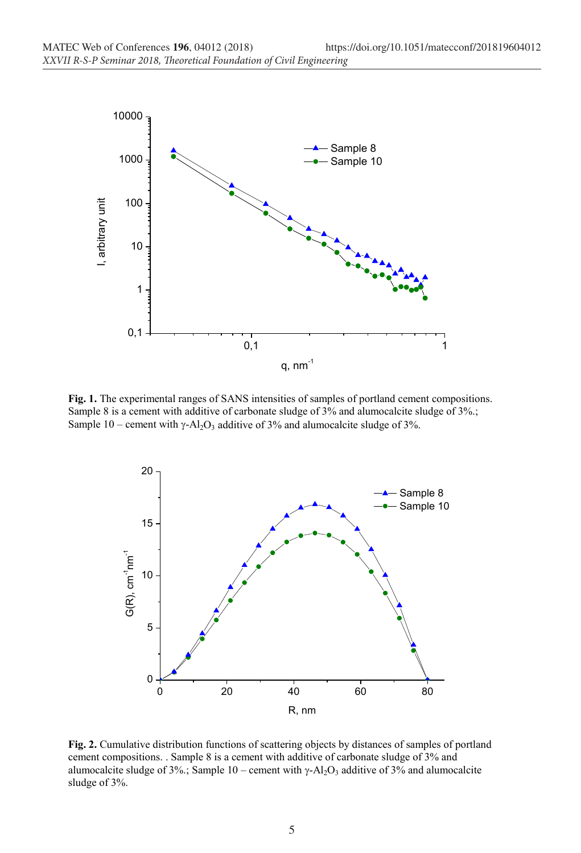

**Fig. 1.** The experimental ranges of SANS intensities of samples of portland cement compositions. Sample 8 is a cement with additive of carbonate sludge of 3% and alumocalcite sludge of 3%.; Sample 10 – cement with  $\gamma$ -Al<sub>2</sub>O<sub>3</sub> additive of 3% and alumocalcite sludge of 3%.



**Fig. 2.** Cumulative distribution functions of scattering objects by distances of samples of portland cement compositions. . Sample 8 is a cement with additive of carbonate sludge of 3% and alumocalcite sludge of 3%.; Sample 10 – cement with  $\gamma$ -Al<sub>2</sub>O<sub>3</sub> additive of 3% and alumocalcite sludge of 3%.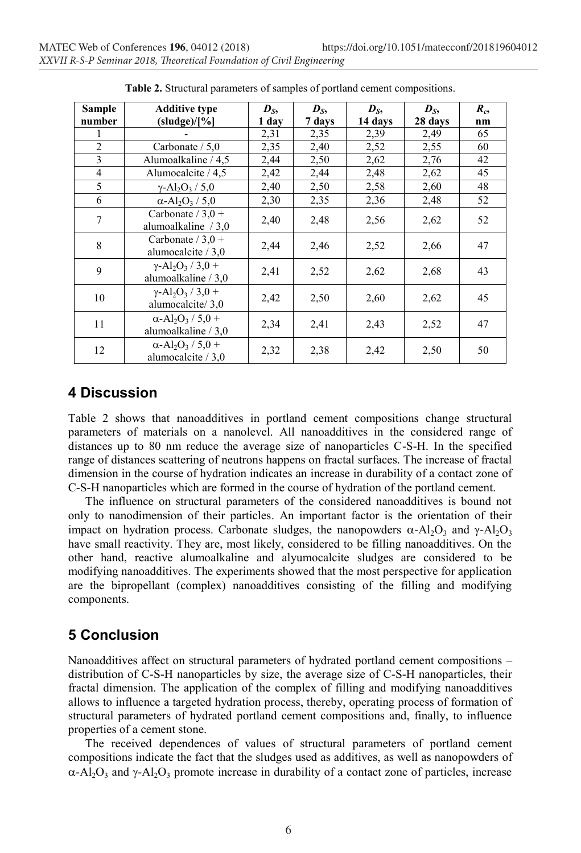| Sample         | <b>Additive type</b>                                                       | $D_{S_2}$ | $D_{S_2}$ | $D_{S_2}$ | $D_{S_2}$ | $R_{c}$ |
|----------------|----------------------------------------------------------------------------|-----------|-----------|-----------|-----------|---------|
| number         | (sludge)/[%]                                                               | 1 day     | 7 days    | 14 days   | 28 days   | nm      |
|                |                                                                            | 2,31      | 2,35      | 2,39      | 2,49      | 65      |
| $\overline{2}$ | Carbonate $/ 5.0$                                                          | 2,35      | 2,40      | 2,52      | 2,55      | 60      |
| 3              | Alumoalkaline / 4.5                                                        | 2,44      | 2,50      | 2,62      | 2,76      | 42      |
| 4              | Alumocalcite $/4.5$                                                        | 2,42      | 2,44      | 2,48      | 2,62      | 45      |
| 5              | $\gamma$ -Al <sub>2</sub> O <sub>3</sub> / 5.0                             | 2,40      | 2,50      | 2,58      | 2,60      | 48      |
| 6              | $\alpha$ -Al <sub>2</sub> O <sub>3</sub> / 5.0                             | 2,30      | 2,35      | 2,36      | 2,48      | 52      |
| 7              | Carbonate $/3.0 +$<br>alumoalkaline $/3.0$                                 | 2,40      | 2,48      | 2,56      | 2,62      | 52      |
| 8              | Carbonate $/3.0 +$<br>alumocalcite / 3,0                                   | 2,44      | 2,46      | 2,52      | 2,66      | 47      |
| 9              | $\gamma$ -Al <sub>2</sub> O <sub>3</sub> / 3,0 +<br>alumoalkaline $/ 3.0 $ | 2,41      | 2,52      | 2,62      | 2,68      | 43      |
| 10             | $\gamma$ -Al <sub>2</sub> O <sub>3</sub> / 3,0 +<br>alumocalcite/3,0       | 2,42      | 2,50      | 2,60      | 2,62      | 45      |
| 11             | $\alpha$ -Al <sub>2</sub> O <sub>3</sub> / 5,0 +<br>alumoalkaline / 3,0    | 2,34      | 2,41      | 2,43      | 2,52      | 47      |
| 12             | $\alpha$ -Al <sub>2</sub> O <sub>3</sub> / 5,0 +<br>alumocalcite $/ 3.0 $  | 2,32      | 2,38      | 2,42      | 2,50      | 50      |

**Table 2.** Structural parameters of samples of portland cement compositions.

#### **4 Discussion**

Table 2 shows that nanoadditives in portland cement compositions change structural parameters of materials on a nanolevel. All nanoadditives in the considered range of distances up to 80 nm reduce the average size of nanoparticles C-S-H. In the specified range of distances scattering of neutrons happens on fractal surfaces. The increase of fractal dimension in the course of hydration indicates an increase in durability of a contact zone of C-S-H nanoparticles which are formed in the course of hydration of the portland cement.

The influence on structural parameters of the considered nanoadditives is bound not only to nanodimension of their particles. An important factor is the orientation of their impact on hydration process. Carbonate sludges, the nanopowders  $\alpha$ -Al<sub>2</sub>O<sub>3</sub> and  $\gamma$ -Al<sub>2</sub>O<sub>3</sub> have small reactivity. They are, most likely, considered to be filling nanoadditives. On the other hand, reactive alumoalkaline and alyumocalcite sludges are considered to be modifying nanoadditives. The experiments showed that the most perspective for application are the bipropellant (complex) nanoadditives consisting of the filling and modifying components.

## **5 Conclusion**

Nanoadditives affect on structural parameters of hydrated portland cement compositions – distribution of C-S-H nanoparticles by size, the average size of C-S-H nanoparticles, their fractal dimension. The application of the complex of filling and modifying nanoadditives allows to influence a targeted hydration process, thereby, operating process of formation of structural parameters of hydrated portland cement compositions and, finally, to influence properties of a cement stone.

The received dependences of values of structural parameters of portland cement compositions indicate the fact that the sludges used as additives, as well as nanopowders of  $\alpha$ -Al<sub>2</sub>O<sub>3</sub> and  $\gamma$ -Al<sub>2</sub>O<sub>3</sub> promote increase in durability of a contact zone of particles, increase